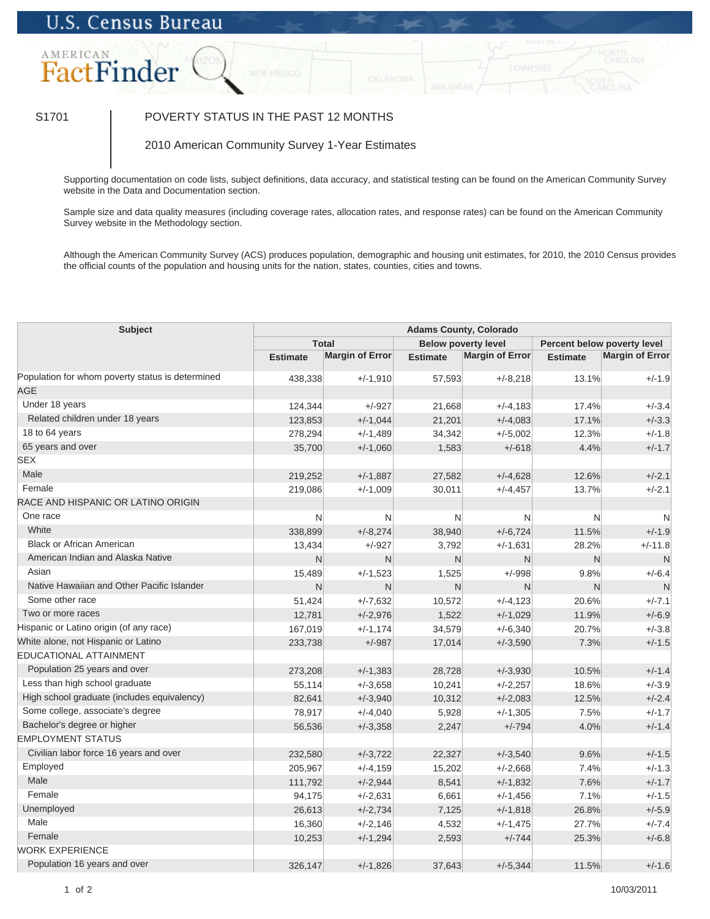## **U.S. Census Bureau**



## S1701 | POVERTY STATUS IN THE PAST 12 MONTHS

2010 American Community Survey 1-Year Estimates

Supporting documentation on code lists, subject definitions, data accuracy, and statistical testing can be found on the American Community Survey website in the Data and Documentation section.

Sample size and data quality measures (including coverage rates, allocation rates, and response rates) can be found on the American Community Survey website in the Methodology section.

Although the American Community Survey (ACS) produces population, demographic and housing unit estimates, for 2010, the 2010 Census provides the official counts of the population and housing units for the nation, states, counties, cities and towns.

| <b>Total</b><br><b>Below poverty level</b><br>Percent below poverty level<br><b>Margin of Error</b><br>Margin of Error<br><b>Margin of Error</b><br><b>Estimate</b><br><b>Estimate</b><br><b>Estimate</b><br>Population for whom poverty status is determined<br>13.1%<br>438,338<br>$+/-1,910$<br>57,593<br>$+/-8,218$<br>$+/-1.9$<br><b>AGE</b><br>Under 18 years<br>124,344<br>$+/-927$<br>21,668<br>$+/-4,183$<br>17.4%<br>$+/-3.4$<br>Related children under 18 years<br>123,853<br>$+/-1,044$<br>21,201<br>$+/-4,083$<br>17.1%<br>$+/-3.3$<br>18 to 64 years<br>278,294<br>$+/-1,489$<br>34,342<br>$+/-5,002$<br>12.3%<br>$+/-1.8$<br>65 years and over<br>35,700<br>$+/-1,060$<br>1,583<br>$+/-618$<br>4.4%<br>$+/-1.7$<br><b>SEX</b><br>Male<br>$+/-2.1$<br>219,252<br>$+/-1,887$<br>27,582<br>$+/-4,628$<br>12.6%<br>Female<br>$+/-2.1$<br>219,086<br>$+/-1,009$<br>30,011<br>$+/-4,457$<br>13.7%<br>RACE AND HISPANIC OR LATINO ORIGIN<br>One race<br>N<br>N<br>N<br>N<br>N<br>N<br>White<br>338,899<br>$+/-8,274$<br>38,940<br>$+/-6,724$<br>11.5%<br>$+/-1.9$<br>Black or African American<br>$+/-927$<br>3,792<br>$+/-1,631$<br>28.2%<br>$+/-11.8$<br>13,434<br>American Indian and Alaska Native<br>N<br>N<br>N<br>N<br>N<br>N<br>Asian<br>1,525<br>$+/-998$<br>9.8%<br>$+/-6.4$<br>15,489<br>$+/-1,523$<br>Native Hawaiian and Other Pacific Islander<br>N<br>N<br>$\mathsf{N}$<br>N<br>N<br>N<br>Some other race<br>$+/-7.1$<br>51,424<br>$+/-7,632$<br>10,572<br>$+/-4,123$<br>20.6%<br>Two or more races<br>$+/-1,029$<br>$+/-6.9$<br>12,781<br>$+/-2,976$<br>1,522<br>11.9%<br>Hispanic or Latino origin (of any race)<br>$+/-3.8$<br>167,019<br>$+/-1,174$<br>34,579<br>$+/-6,340$<br>20.7%<br>White alone, not Hispanic or Latino<br>$+/-1.5$<br>233,738<br>$+/-987$<br>17,014<br>$+/-3,590$<br>7.3%<br><b>EDUCATIONAL ATTAINMENT</b><br>Population 25 years and over<br>$+/-1.4$<br>$+/-1,383$<br>28,728<br>$+/-3,930$<br>10.5%<br>273,208<br>Less than high school graduate<br>$+/-3.9$<br>55,114<br>10,241<br>$+/-2,257$<br>18.6%<br>$+/-3,658$<br>High school graduate (includes equivalency)<br>82,641<br>$+/-3,940$<br>10,312<br>$+/-2,083$<br>12.5%<br>$+/-2.4$<br>Some college, associate's degree<br>78,917<br>$+/-4,040$<br>5,928<br>$+/-1,305$<br>7.5%<br>$+/-1.7$<br>Bachelor's degree or higher<br>$+/-3,358$<br>2,247<br>$+/-794$<br>4.0%<br>$+/-1.4$<br>56,536<br><b>EMPLOYMENT STATUS</b><br>Civilian labor force 16 years and over<br>$+/-1.5$<br>$+/-3.722$<br>22,327<br>$+/-3,540$<br>9.6%<br>232,580<br>Employed<br>$+/-1.3$<br>205,967<br>$+/-4,159$<br>15,202<br>$+/-2,668$<br>7.4%<br>Male<br>111,792<br>$+/-2,944$<br>8,541<br>$+/-1,832$<br>7.6%<br>$+/-1.7$<br>Female<br>7.1%<br>$+/-1.5$<br>94,175<br>$+/-2,631$<br>6,661<br>$+/-1,456$<br>Unemployed<br>7,125<br>26.8%<br>$+/-5.9$<br>26,613<br>$+/-2,734$<br>$+/-1,818$<br>Male<br>16,360<br>$+/-2,146$<br>4,532<br>$+/-1,475$<br>27.7%<br>$+/-7.4$<br>Female<br>25.3%<br>$+/-6.8$<br>10,253<br>$+/-1,294$<br>2,593<br>$+/-744$<br><b>WORK EXPERIENCE</b><br>Population 16 years and over<br>$+/-1,826$<br>$+/-5,344$<br>11.5%<br>$+/-1.6$<br>326,147<br>37,643 | <b>Subject</b> | <b>Adams County, Colorado</b> |  |  |  |  |  |  |  |
|-------------------------------------------------------------------------------------------------------------------------------------------------------------------------------------------------------------------------------------------------------------------------------------------------------------------------------------------------------------------------------------------------------------------------------------------------------------------------------------------------------------------------------------------------------------------------------------------------------------------------------------------------------------------------------------------------------------------------------------------------------------------------------------------------------------------------------------------------------------------------------------------------------------------------------------------------------------------------------------------------------------------------------------------------------------------------------------------------------------------------------------------------------------------------------------------------------------------------------------------------------------------------------------------------------------------------------------------------------------------------------------------------------------------------------------------------------------------------------------------------------------------------------------------------------------------------------------------------------------------------------------------------------------------------------------------------------------------------------------------------------------------------------------------------------------------------------------------------------------------------------------------------------------------------------------------------------------------------------------------------------------------------------------------------------------------------------------------------------------------------------------------------------------------------------------------------------------------------------------------------------------------------------------------------------------------------------------------------------------------------------------------------------------------------------------------------------------------------------------------------------------------------------------------------------------------------------------------------------------------------------------------------------------------------------------------------------------------------------------------------------------------------------------------------------------------------------------------------------------------------------------------------------------------------------------------------------------------------------------------------------------------------------------------------------------------------------------------------------------------------------------------------------------------|----------------|-------------------------------|--|--|--|--|--|--|--|
|                                                                                                                                                                                                                                                                                                                                                                                                                                                                                                                                                                                                                                                                                                                                                                                                                                                                                                                                                                                                                                                                                                                                                                                                                                                                                                                                                                                                                                                                                                                                                                                                                                                                                                                                                                                                                                                                                                                                                                                                                                                                                                                                                                                                                                                                                                                                                                                                                                                                                                                                                                                                                                                                                                                                                                                                                                                                                                                                                                                                                                                                                                                                                                   |                |                               |  |  |  |  |  |  |  |
|                                                                                                                                                                                                                                                                                                                                                                                                                                                                                                                                                                                                                                                                                                                                                                                                                                                                                                                                                                                                                                                                                                                                                                                                                                                                                                                                                                                                                                                                                                                                                                                                                                                                                                                                                                                                                                                                                                                                                                                                                                                                                                                                                                                                                                                                                                                                                                                                                                                                                                                                                                                                                                                                                                                                                                                                                                                                                                                                                                                                                                                                                                                                                                   |                |                               |  |  |  |  |  |  |  |
|                                                                                                                                                                                                                                                                                                                                                                                                                                                                                                                                                                                                                                                                                                                                                                                                                                                                                                                                                                                                                                                                                                                                                                                                                                                                                                                                                                                                                                                                                                                                                                                                                                                                                                                                                                                                                                                                                                                                                                                                                                                                                                                                                                                                                                                                                                                                                                                                                                                                                                                                                                                                                                                                                                                                                                                                                                                                                                                                                                                                                                                                                                                                                                   |                |                               |  |  |  |  |  |  |  |
|                                                                                                                                                                                                                                                                                                                                                                                                                                                                                                                                                                                                                                                                                                                                                                                                                                                                                                                                                                                                                                                                                                                                                                                                                                                                                                                                                                                                                                                                                                                                                                                                                                                                                                                                                                                                                                                                                                                                                                                                                                                                                                                                                                                                                                                                                                                                                                                                                                                                                                                                                                                                                                                                                                                                                                                                                                                                                                                                                                                                                                                                                                                                                                   |                |                               |  |  |  |  |  |  |  |
|                                                                                                                                                                                                                                                                                                                                                                                                                                                                                                                                                                                                                                                                                                                                                                                                                                                                                                                                                                                                                                                                                                                                                                                                                                                                                                                                                                                                                                                                                                                                                                                                                                                                                                                                                                                                                                                                                                                                                                                                                                                                                                                                                                                                                                                                                                                                                                                                                                                                                                                                                                                                                                                                                                                                                                                                                                                                                                                                                                                                                                                                                                                                                                   |                |                               |  |  |  |  |  |  |  |
|                                                                                                                                                                                                                                                                                                                                                                                                                                                                                                                                                                                                                                                                                                                                                                                                                                                                                                                                                                                                                                                                                                                                                                                                                                                                                                                                                                                                                                                                                                                                                                                                                                                                                                                                                                                                                                                                                                                                                                                                                                                                                                                                                                                                                                                                                                                                                                                                                                                                                                                                                                                                                                                                                                                                                                                                                                                                                                                                                                                                                                                                                                                                                                   |                |                               |  |  |  |  |  |  |  |
|                                                                                                                                                                                                                                                                                                                                                                                                                                                                                                                                                                                                                                                                                                                                                                                                                                                                                                                                                                                                                                                                                                                                                                                                                                                                                                                                                                                                                                                                                                                                                                                                                                                                                                                                                                                                                                                                                                                                                                                                                                                                                                                                                                                                                                                                                                                                                                                                                                                                                                                                                                                                                                                                                                                                                                                                                                                                                                                                                                                                                                                                                                                                                                   |                |                               |  |  |  |  |  |  |  |
|                                                                                                                                                                                                                                                                                                                                                                                                                                                                                                                                                                                                                                                                                                                                                                                                                                                                                                                                                                                                                                                                                                                                                                                                                                                                                                                                                                                                                                                                                                                                                                                                                                                                                                                                                                                                                                                                                                                                                                                                                                                                                                                                                                                                                                                                                                                                                                                                                                                                                                                                                                                                                                                                                                                                                                                                                                                                                                                                                                                                                                                                                                                                                                   |                |                               |  |  |  |  |  |  |  |
|                                                                                                                                                                                                                                                                                                                                                                                                                                                                                                                                                                                                                                                                                                                                                                                                                                                                                                                                                                                                                                                                                                                                                                                                                                                                                                                                                                                                                                                                                                                                                                                                                                                                                                                                                                                                                                                                                                                                                                                                                                                                                                                                                                                                                                                                                                                                                                                                                                                                                                                                                                                                                                                                                                                                                                                                                                                                                                                                                                                                                                                                                                                                                                   |                |                               |  |  |  |  |  |  |  |
|                                                                                                                                                                                                                                                                                                                                                                                                                                                                                                                                                                                                                                                                                                                                                                                                                                                                                                                                                                                                                                                                                                                                                                                                                                                                                                                                                                                                                                                                                                                                                                                                                                                                                                                                                                                                                                                                                                                                                                                                                                                                                                                                                                                                                                                                                                                                                                                                                                                                                                                                                                                                                                                                                                                                                                                                                                                                                                                                                                                                                                                                                                                                                                   |                |                               |  |  |  |  |  |  |  |
|                                                                                                                                                                                                                                                                                                                                                                                                                                                                                                                                                                                                                                                                                                                                                                                                                                                                                                                                                                                                                                                                                                                                                                                                                                                                                                                                                                                                                                                                                                                                                                                                                                                                                                                                                                                                                                                                                                                                                                                                                                                                                                                                                                                                                                                                                                                                                                                                                                                                                                                                                                                                                                                                                                                                                                                                                                                                                                                                                                                                                                                                                                                                                                   |                |                               |  |  |  |  |  |  |  |
|                                                                                                                                                                                                                                                                                                                                                                                                                                                                                                                                                                                                                                                                                                                                                                                                                                                                                                                                                                                                                                                                                                                                                                                                                                                                                                                                                                                                                                                                                                                                                                                                                                                                                                                                                                                                                                                                                                                                                                                                                                                                                                                                                                                                                                                                                                                                                                                                                                                                                                                                                                                                                                                                                                                                                                                                                                                                                                                                                                                                                                                                                                                                                                   |                |                               |  |  |  |  |  |  |  |
|                                                                                                                                                                                                                                                                                                                                                                                                                                                                                                                                                                                                                                                                                                                                                                                                                                                                                                                                                                                                                                                                                                                                                                                                                                                                                                                                                                                                                                                                                                                                                                                                                                                                                                                                                                                                                                                                                                                                                                                                                                                                                                                                                                                                                                                                                                                                                                                                                                                                                                                                                                                                                                                                                                                                                                                                                                                                                                                                                                                                                                                                                                                                                                   |                |                               |  |  |  |  |  |  |  |
|                                                                                                                                                                                                                                                                                                                                                                                                                                                                                                                                                                                                                                                                                                                                                                                                                                                                                                                                                                                                                                                                                                                                                                                                                                                                                                                                                                                                                                                                                                                                                                                                                                                                                                                                                                                                                                                                                                                                                                                                                                                                                                                                                                                                                                                                                                                                                                                                                                                                                                                                                                                                                                                                                                                                                                                                                                                                                                                                                                                                                                                                                                                                                                   |                |                               |  |  |  |  |  |  |  |
|                                                                                                                                                                                                                                                                                                                                                                                                                                                                                                                                                                                                                                                                                                                                                                                                                                                                                                                                                                                                                                                                                                                                                                                                                                                                                                                                                                                                                                                                                                                                                                                                                                                                                                                                                                                                                                                                                                                                                                                                                                                                                                                                                                                                                                                                                                                                                                                                                                                                                                                                                                                                                                                                                                                                                                                                                                                                                                                                                                                                                                                                                                                                                                   |                |                               |  |  |  |  |  |  |  |
|                                                                                                                                                                                                                                                                                                                                                                                                                                                                                                                                                                                                                                                                                                                                                                                                                                                                                                                                                                                                                                                                                                                                                                                                                                                                                                                                                                                                                                                                                                                                                                                                                                                                                                                                                                                                                                                                                                                                                                                                                                                                                                                                                                                                                                                                                                                                                                                                                                                                                                                                                                                                                                                                                                                                                                                                                                                                                                                                                                                                                                                                                                                                                                   |                |                               |  |  |  |  |  |  |  |
|                                                                                                                                                                                                                                                                                                                                                                                                                                                                                                                                                                                                                                                                                                                                                                                                                                                                                                                                                                                                                                                                                                                                                                                                                                                                                                                                                                                                                                                                                                                                                                                                                                                                                                                                                                                                                                                                                                                                                                                                                                                                                                                                                                                                                                                                                                                                                                                                                                                                                                                                                                                                                                                                                                                                                                                                                                                                                                                                                                                                                                                                                                                                                                   |                |                               |  |  |  |  |  |  |  |
|                                                                                                                                                                                                                                                                                                                                                                                                                                                                                                                                                                                                                                                                                                                                                                                                                                                                                                                                                                                                                                                                                                                                                                                                                                                                                                                                                                                                                                                                                                                                                                                                                                                                                                                                                                                                                                                                                                                                                                                                                                                                                                                                                                                                                                                                                                                                                                                                                                                                                                                                                                                                                                                                                                                                                                                                                                                                                                                                                                                                                                                                                                                                                                   |                |                               |  |  |  |  |  |  |  |
|                                                                                                                                                                                                                                                                                                                                                                                                                                                                                                                                                                                                                                                                                                                                                                                                                                                                                                                                                                                                                                                                                                                                                                                                                                                                                                                                                                                                                                                                                                                                                                                                                                                                                                                                                                                                                                                                                                                                                                                                                                                                                                                                                                                                                                                                                                                                                                                                                                                                                                                                                                                                                                                                                                                                                                                                                                                                                                                                                                                                                                                                                                                                                                   |                |                               |  |  |  |  |  |  |  |
|                                                                                                                                                                                                                                                                                                                                                                                                                                                                                                                                                                                                                                                                                                                                                                                                                                                                                                                                                                                                                                                                                                                                                                                                                                                                                                                                                                                                                                                                                                                                                                                                                                                                                                                                                                                                                                                                                                                                                                                                                                                                                                                                                                                                                                                                                                                                                                                                                                                                                                                                                                                                                                                                                                                                                                                                                                                                                                                                                                                                                                                                                                                                                                   |                |                               |  |  |  |  |  |  |  |
|                                                                                                                                                                                                                                                                                                                                                                                                                                                                                                                                                                                                                                                                                                                                                                                                                                                                                                                                                                                                                                                                                                                                                                                                                                                                                                                                                                                                                                                                                                                                                                                                                                                                                                                                                                                                                                                                                                                                                                                                                                                                                                                                                                                                                                                                                                                                                                                                                                                                                                                                                                                                                                                                                                                                                                                                                                                                                                                                                                                                                                                                                                                                                                   |                |                               |  |  |  |  |  |  |  |
|                                                                                                                                                                                                                                                                                                                                                                                                                                                                                                                                                                                                                                                                                                                                                                                                                                                                                                                                                                                                                                                                                                                                                                                                                                                                                                                                                                                                                                                                                                                                                                                                                                                                                                                                                                                                                                                                                                                                                                                                                                                                                                                                                                                                                                                                                                                                                                                                                                                                                                                                                                                                                                                                                                                                                                                                                                                                                                                                                                                                                                                                                                                                                                   |                |                               |  |  |  |  |  |  |  |
|                                                                                                                                                                                                                                                                                                                                                                                                                                                                                                                                                                                                                                                                                                                                                                                                                                                                                                                                                                                                                                                                                                                                                                                                                                                                                                                                                                                                                                                                                                                                                                                                                                                                                                                                                                                                                                                                                                                                                                                                                                                                                                                                                                                                                                                                                                                                                                                                                                                                                                                                                                                                                                                                                                                                                                                                                                                                                                                                                                                                                                                                                                                                                                   |                |                               |  |  |  |  |  |  |  |
|                                                                                                                                                                                                                                                                                                                                                                                                                                                                                                                                                                                                                                                                                                                                                                                                                                                                                                                                                                                                                                                                                                                                                                                                                                                                                                                                                                                                                                                                                                                                                                                                                                                                                                                                                                                                                                                                                                                                                                                                                                                                                                                                                                                                                                                                                                                                                                                                                                                                                                                                                                                                                                                                                                                                                                                                                                                                                                                                                                                                                                                                                                                                                                   |                |                               |  |  |  |  |  |  |  |
|                                                                                                                                                                                                                                                                                                                                                                                                                                                                                                                                                                                                                                                                                                                                                                                                                                                                                                                                                                                                                                                                                                                                                                                                                                                                                                                                                                                                                                                                                                                                                                                                                                                                                                                                                                                                                                                                                                                                                                                                                                                                                                                                                                                                                                                                                                                                                                                                                                                                                                                                                                                                                                                                                                                                                                                                                                                                                                                                                                                                                                                                                                                                                                   |                |                               |  |  |  |  |  |  |  |
|                                                                                                                                                                                                                                                                                                                                                                                                                                                                                                                                                                                                                                                                                                                                                                                                                                                                                                                                                                                                                                                                                                                                                                                                                                                                                                                                                                                                                                                                                                                                                                                                                                                                                                                                                                                                                                                                                                                                                                                                                                                                                                                                                                                                                                                                                                                                                                                                                                                                                                                                                                                                                                                                                                                                                                                                                                                                                                                                                                                                                                                                                                                                                                   |                |                               |  |  |  |  |  |  |  |
|                                                                                                                                                                                                                                                                                                                                                                                                                                                                                                                                                                                                                                                                                                                                                                                                                                                                                                                                                                                                                                                                                                                                                                                                                                                                                                                                                                                                                                                                                                                                                                                                                                                                                                                                                                                                                                                                                                                                                                                                                                                                                                                                                                                                                                                                                                                                                                                                                                                                                                                                                                                                                                                                                                                                                                                                                                                                                                                                                                                                                                                                                                                                                                   |                |                               |  |  |  |  |  |  |  |
|                                                                                                                                                                                                                                                                                                                                                                                                                                                                                                                                                                                                                                                                                                                                                                                                                                                                                                                                                                                                                                                                                                                                                                                                                                                                                                                                                                                                                                                                                                                                                                                                                                                                                                                                                                                                                                                                                                                                                                                                                                                                                                                                                                                                                                                                                                                                                                                                                                                                                                                                                                                                                                                                                                                                                                                                                                                                                                                                                                                                                                                                                                                                                                   |                |                               |  |  |  |  |  |  |  |
|                                                                                                                                                                                                                                                                                                                                                                                                                                                                                                                                                                                                                                                                                                                                                                                                                                                                                                                                                                                                                                                                                                                                                                                                                                                                                                                                                                                                                                                                                                                                                                                                                                                                                                                                                                                                                                                                                                                                                                                                                                                                                                                                                                                                                                                                                                                                                                                                                                                                                                                                                                                                                                                                                                                                                                                                                                                                                                                                                                                                                                                                                                                                                                   |                |                               |  |  |  |  |  |  |  |
|                                                                                                                                                                                                                                                                                                                                                                                                                                                                                                                                                                                                                                                                                                                                                                                                                                                                                                                                                                                                                                                                                                                                                                                                                                                                                                                                                                                                                                                                                                                                                                                                                                                                                                                                                                                                                                                                                                                                                                                                                                                                                                                                                                                                                                                                                                                                                                                                                                                                                                                                                                                                                                                                                                                                                                                                                                                                                                                                                                                                                                                                                                                                                                   |                |                               |  |  |  |  |  |  |  |
|                                                                                                                                                                                                                                                                                                                                                                                                                                                                                                                                                                                                                                                                                                                                                                                                                                                                                                                                                                                                                                                                                                                                                                                                                                                                                                                                                                                                                                                                                                                                                                                                                                                                                                                                                                                                                                                                                                                                                                                                                                                                                                                                                                                                                                                                                                                                                                                                                                                                                                                                                                                                                                                                                                                                                                                                                                                                                                                                                                                                                                                                                                                                                                   |                |                               |  |  |  |  |  |  |  |
|                                                                                                                                                                                                                                                                                                                                                                                                                                                                                                                                                                                                                                                                                                                                                                                                                                                                                                                                                                                                                                                                                                                                                                                                                                                                                                                                                                                                                                                                                                                                                                                                                                                                                                                                                                                                                                                                                                                                                                                                                                                                                                                                                                                                                                                                                                                                                                                                                                                                                                                                                                                                                                                                                                                                                                                                                                                                                                                                                                                                                                                                                                                                                                   |                |                               |  |  |  |  |  |  |  |
|                                                                                                                                                                                                                                                                                                                                                                                                                                                                                                                                                                                                                                                                                                                                                                                                                                                                                                                                                                                                                                                                                                                                                                                                                                                                                                                                                                                                                                                                                                                                                                                                                                                                                                                                                                                                                                                                                                                                                                                                                                                                                                                                                                                                                                                                                                                                                                                                                                                                                                                                                                                                                                                                                                                                                                                                                                                                                                                                                                                                                                                                                                                                                                   |                |                               |  |  |  |  |  |  |  |
|                                                                                                                                                                                                                                                                                                                                                                                                                                                                                                                                                                                                                                                                                                                                                                                                                                                                                                                                                                                                                                                                                                                                                                                                                                                                                                                                                                                                                                                                                                                                                                                                                                                                                                                                                                                                                                                                                                                                                                                                                                                                                                                                                                                                                                                                                                                                                                                                                                                                                                                                                                                                                                                                                                                                                                                                                                                                                                                                                                                                                                                                                                                                                                   |                |                               |  |  |  |  |  |  |  |
|                                                                                                                                                                                                                                                                                                                                                                                                                                                                                                                                                                                                                                                                                                                                                                                                                                                                                                                                                                                                                                                                                                                                                                                                                                                                                                                                                                                                                                                                                                                                                                                                                                                                                                                                                                                                                                                                                                                                                                                                                                                                                                                                                                                                                                                                                                                                                                                                                                                                                                                                                                                                                                                                                                                                                                                                                                                                                                                                                                                                                                                                                                                                                                   |                |                               |  |  |  |  |  |  |  |
|                                                                                                                                                                                                                                                                                                                                                                                                                                                                                                                                                                                                                                                                                                                                                                                                                                                                                                                                                                                                                                                                                                                                                                                                                                                                                                                                                                                                                                                                                                                                                                                                                                                                                                                                                                                                                                                                                                                                                                                                                                                                                                                                                                                                                                                                                                                                                                                                                                                                                                                                                                                                                                                                                                                                                                                                                                                                                                                                                                                                                                                                                                                                                                   |                |                               |  |  |  |  |  |  |  |
|                                                                                                                                                                                                                                                                                                                                                                                                                                                                                                                                                                                                                                                                                                                                                                                                                                                                                                                                                                                                                                                                                                                                                                                                                                                                                                                                                                                                                                                                                                                                                                                                                                                                                                                                                                                                                                                                                                                                                                                                                                                                                                                                                                                                                                                                                                                                                                                                                                                                                                                                                                                                                                                                                                                                                                                                                                                                                                                                                                                                                                                                                                                                                                   |                |                               |  |  |  |  |  |  |  |
|                                                                                                                                                                                                                                                                                                                                                                                                                                                                                                                                                                                                                                                                                                                                                                                                                                                                                                                                                                                                                                                                                                                                                                                                                                                                                                                                                                                                                                                                                                                                                                                                                                                                                                                                                                                                                                                                                                                                                                                                                                                                                                                                                                                                                                                                                                                                                                                                                                                                                                                                                                                                                                                                                                                                                                                                                                                                                                                                                                                                                                                                                                                                                                   |                |                               |  |  |  |  |  |  |  |